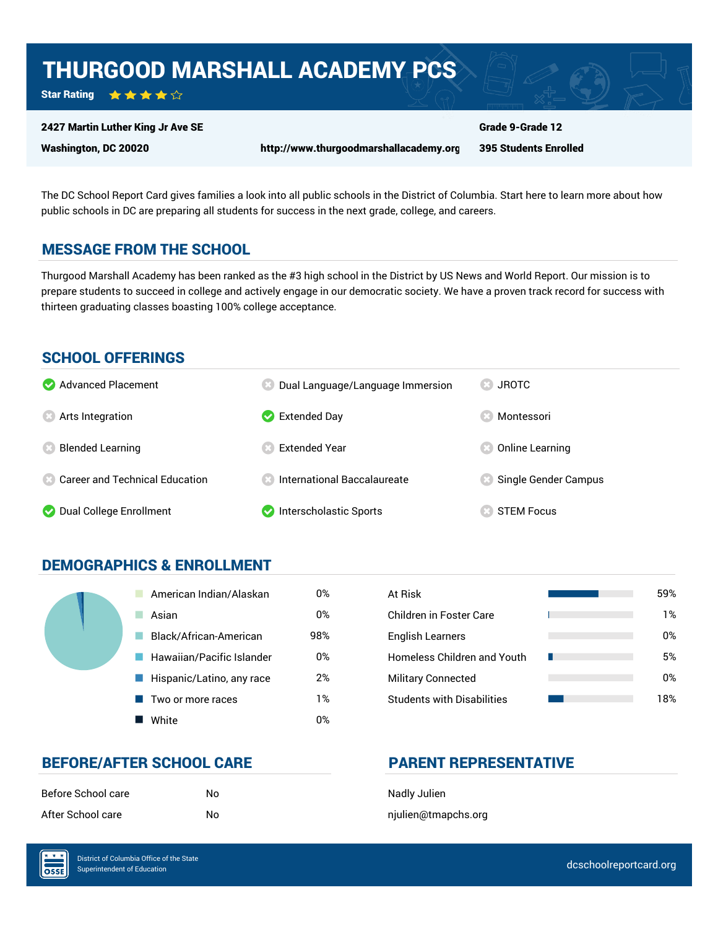## THURGOOD MARSHALL ACADEMY PCS

Star Rating ★★★★☆

#### 2427 Martin Luther King Jr Ave SE

Washington, DC 20020 http://www.thurgoodmarshallacademy.org

395 Students Enrolled

Grade 9-Grade 12

The DC School Report Card gives families a look into all public schools in the District of Columbia. Start here to learn more about how public schools in DC are preparing all students for success in the next grade, college, and careers.

## MESSAGE FROM THE SCHOOL

Thurgood Marshall Academy has been ranked as the #3 high school in the District by US News and World Report. Our mission is to prepare students to succeed in college and actively engage in our democratic society. We have a proven track record for success with thirteen graduating classes boasting 100% college acceptance.

### SCHOOL OFFERINGS

| Advanced Placement                      | Dual Language/Language Immersion   | <b>JROTC</b>         |
|-----------------------------------------|------------------------------------|----------------------|
| <b>8</b> Arts Integration               | $\blacktriangleright$ Extended Day | Montessori           |
| <b>Blended Learning</b>                 | Extended Year                      | Online Learning      |
| <b>2</b> Career and Technical Education | $\,$ International Baccalaureate   | Single Gender Campus |
| Dual College Enrollment                 | Interscholastic Sports             | <b>STEM Focus</b>    |

## DEMOGRAPHICS & ENROLLMENT

| American Indian/Alaskan   | 0%  | At Risk                            |
|---------------------------|-----|------------------------------------|
| Asian                     | 0%  | Children in Foster Care            |
| Black/African-American    | 98% | <b>English Learners</b>            |
| Hawaiian/Pacific Islander | 0%  | <b>Homeless Children and Youth</b> |
| Hispanic/Latino, any race | 2%  | <b>Military Connected</b>          |
| Two or more races         | 1%  | <b>Students with Disabilities</b>  |
| White                     | 0%  |                                    |

| At Risk                           | 59% |
|-----------------------------------|-----|
| Children in Foster Care           | 1%  |
| <b>English Learners</b>           | 0%  |
| Homeless Children and Youth       | 5%  |
| <b>Military Connected</b>         | 0%  |
| <b>Students with Disabilities</b> | 18% |

## BEFORE/AFTER SCHOOL CARE **PARENT REPRESENTATIVE**

| Before School care | N٥ |
|--------------------|----|
| After School care  | N٥ |

**Nadly Julien** hjulien@tmapchs.org

OSSE